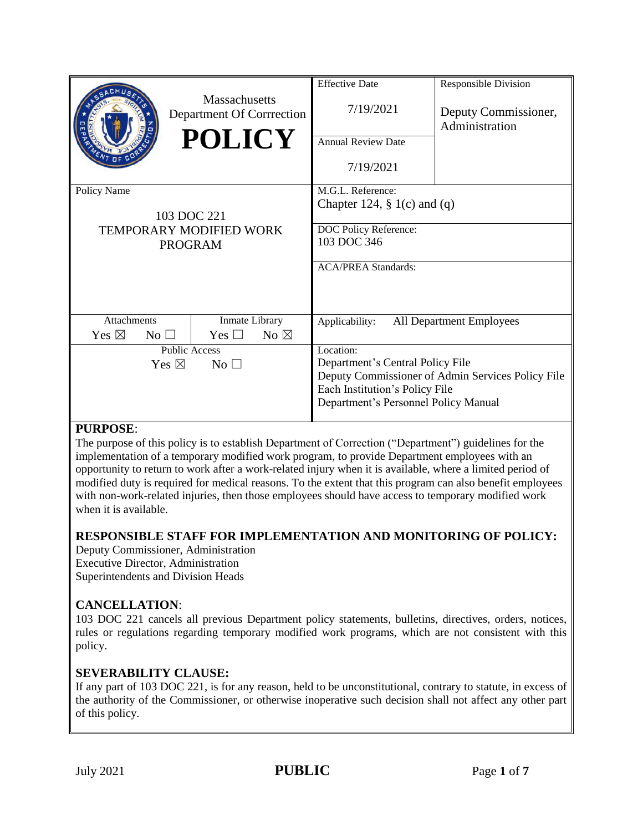|                                                                         | <b>Massachusetts</b><br>Department Of Corrrection<br><b>POLICY</b> | <b>Effective Date</b><br>7/19/2021<br><b>Annual Review Date</b><br>7/19/2021                                              | <b>Responsible Division</b><br>Deputy Commissioner,<br>Administration |
|-------------------------------------------------------------------------|--------------------------------------------------------------------|---------------------------------------------------------------------------------------------------------------------------|-----------------------------------------------------------------------|
| Policy Name<br>103 DOC 221<br>TEMPORARY MODIFIED WORK<br><b>PROGRAM</b> |                                                                    | M.G.L. Reference:<br>Chapter 124, $\S$ 1(c) and (q)<br>DOC Policy Reference:<br>103 DOC 346<br><b>ACA/PREA Standards:</b> |                                                                       |
| <b>Attachments</b><br>Yes $\boxtimes$<br>$\rm No \,\,\square$           | Inmate Library<br>Yes $\Box$<br>No $\boxtimes$                     | Applicability:                                                                                                            | <b>All Department Employees</b>                                       |
| <b>Public Access</b><br>Yes $\boxtimes$<br>No <sub>1</sub>              |                                                                    | Location:<br>Department's Central Policy File<br>Each Institution's Policy File<br>Department's Personnel Policy Manual   | Deputy Commissioner of Admin Services Policy File                     |

## **PURPOSE**:

The purpose of this policy is to establish Department of Correction ("Department") guidelines for the implementation of a temporary modified work program, to provide Department employees with an opportunity to return to work after a work-related injury when it is available, where a limited period of modified duty is required for medical reasons. To the extent that this program can also benefit employees with non-work-related injuries, then those employees should have access to temporary modified work when it is available.

#### **RESPONSIBLE STAFF FOR IMPLEMENTATION AND MONITORING OF POLICY:**

Deputy Commissioner, Administration Executive Director, Administration Superintendents and Division Heads

#### **CANCELLATION**:

103 DOC 221 cancels all previous Department policy statements, bulletins, directives, orders, notices, rules or regulations regarding temporary modified work programs, which are not consistent with this policy.

#### **SEVERABILITY CLAUSE:**

If any part of 103 DOC 221, is for any reason, held to be unconstitutional, contrary to statute, in excess of the authority of the Commissioner, or otherwise inoperative such decision shall not affect any other part of this policy.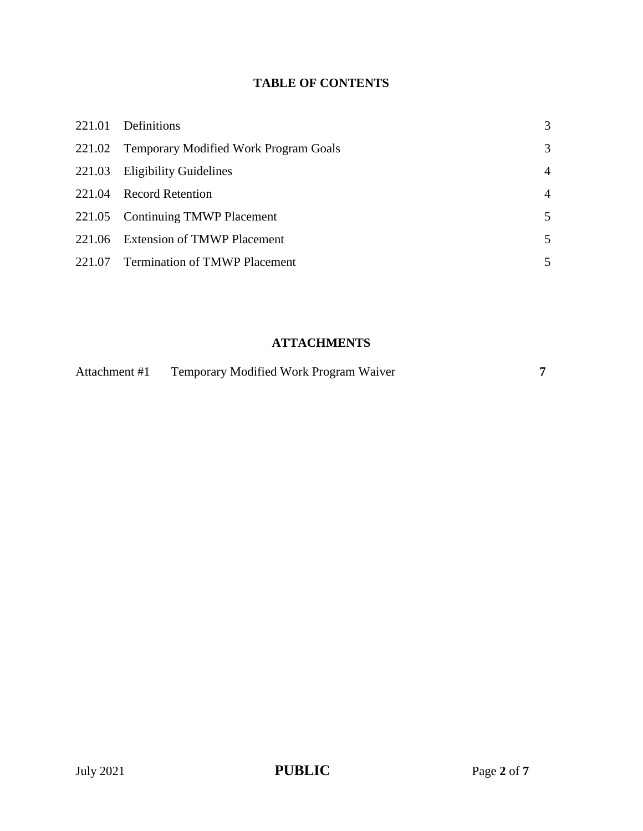## **TABLE OF CONTENTS**

| 221.01 | Definitions                                  | 3              |
|--------|----------------------------------------------|----------------|
|        | 221.02 Temporary Modified Work Program Goals | 3              |
| 221.03 | <b>Eligibility Guidelines</b>                | $\overline{4}$ |
|        | 221.04 Record Retention                      | $\overline{4}$ |
|        | 221.05 Continuing TMWP Placement             | 5              |
|        | 221.06 Extension of TMWP Placement           | 5              |
|        | 221.07 Termination of TMWP Placement         | 5              |

# **ATTACHMENTS**

| Attachment #1 | Temporary Modified Work Program Waiver |  |
|---------------|----------------------------------------|--|
|               |                                        |  |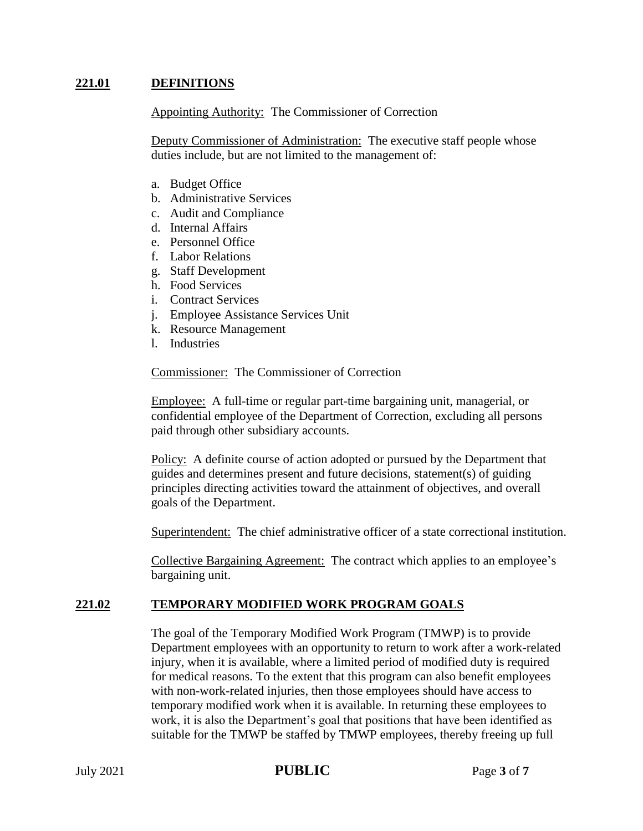#### **221.01 DEFINITIONS**

Appointing Authority: The Commissioner of Correction

Deputy Commissioner of Administration: The executive staff people whose duties include, but are not limited to the management of:

- a. Budget Office
- b. Administrative Services
- c. Audit and Compliance
- d. Internal Affairs
- e. Personnel Office
- f. Labor Relations
- g. Staff Development
- h. Food Services
- i. Contract Services
- j. Employee Assistance Services Unit
- k. Resource Management
- l. Industries

Commissioner: The Commissioner of Correction

Employee: A full-time or regular part-time bargaining unit, managerial, or confidential employee of the Department of Correction, excluding all persons paid through other subsidiary accounts.

Policy: A definite course of action adopted or pursued by the Department that guides and determines present and future decisions, statement(s) of guiding principles directing activities toward the attainment of objectives, and overall goals of the Department.

Superintendent: The chief administrative officer of a state correctional institution.

Collective Bargaining Agreement: The contract which applies to an employee's bargaining unit.

#### **221.02 TEMPORARY MODIFIED WORK PROGRAM GOALS**

The goal of the Temporary Modified Work Program (TMWP) is to provide Department employees with an opportunity to return to work after a work-related injury, when it is available, where a limited period of modified duty is required for medical reasons. To the extent that this program can also benefit employees with non-work-related injuries, then those employees should have access to temporary modified work when it is available. In returning these employees to work, it is also the Department's goal that positions that have been identified as suitable for the TMWP be staffed by TMWP employees, thereby freeing up full

## **PUBLIC** PAGE 2021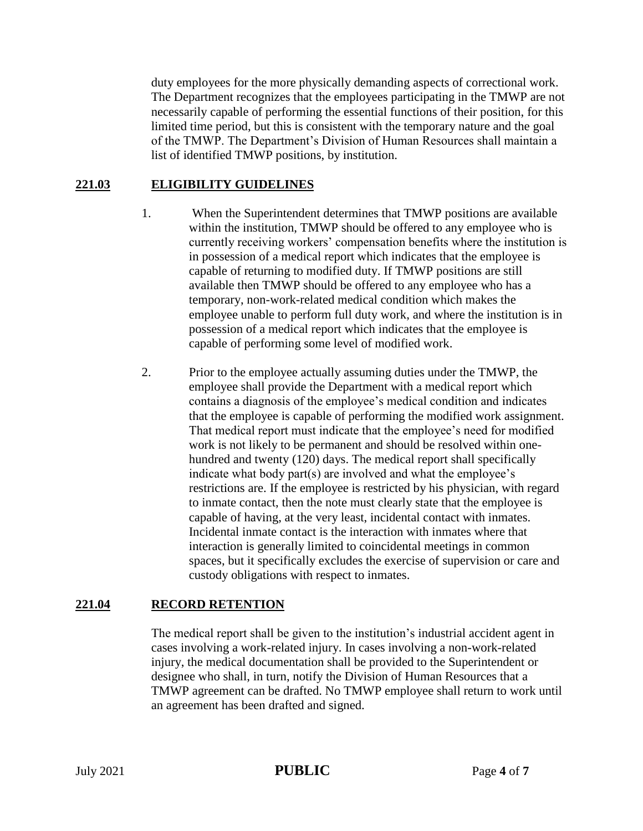duty employees for the more physically demanding aspects of correctional work. The Department recognizes that the employees participating in the TMWP are not necessarily capable of performing the essential functions of their position, for this limited time period, but this is consistent with the temporary nature and the goal of the TMWP. The Department's Division of Human Resources shall maintain a list of identified TMWP positions, by institution.

## **221.03 ELIGIBILITY GUIDELINES**

- 1. When the Superintendent determines that TMWP positions are available within the institution, TMWP should be offered to any employee who is currently receiving workers' compensation benefits where the institution is in possession of a medical report which indicates that the employee is capable of returning to modified duty. If TMWP positions are still available then TMWP should be offered to any employee who has a temporary, non-work-related medical condition which makes the employee unable to perform full duty work, and where the institution is in possession of a medical report which indicates that the employee is capable of performing some level of modified work.
- 2. Prior to the employee actually assuming duties under the TMWP, the employee shall provide the Department with a medical report which contains a diagnosis of the employee's medical condition and indicates that the employee is capable of performing the modified work assignment. That medical report must indicate that the employee's need for modified work is not likely to be permanent and should be resolved within onehundred and twenty (120) days. The medical report shall specifically indicate what body part(s) are involved and what the employee's restrictions are. If the employee is restricted by his physician, with regard to inmate contact, then the note must clearly state that the employee is capable of having, at the very least, incidental contact with inmates. Incidental inmate contact is the interaction with inmates where that interaction is generally limited to coincidental meetings in common spaces, but it specifically excludes the exercise of supervision or care and custody obligations with respect to inmates.

#### **221.04 RECORD RETENTION**

The medical report shall be given to the institution's industrial accident agent in cases involving a work-related injury. In cases involving a non-work-related injury, the medical documentation shall be provided to the Superintendent or designee who shall, in turn, notify the Division of Human Resources that a TMWP agreement can be drafted. No TMWP employee shall return to work until an agreement has been drafted and signed.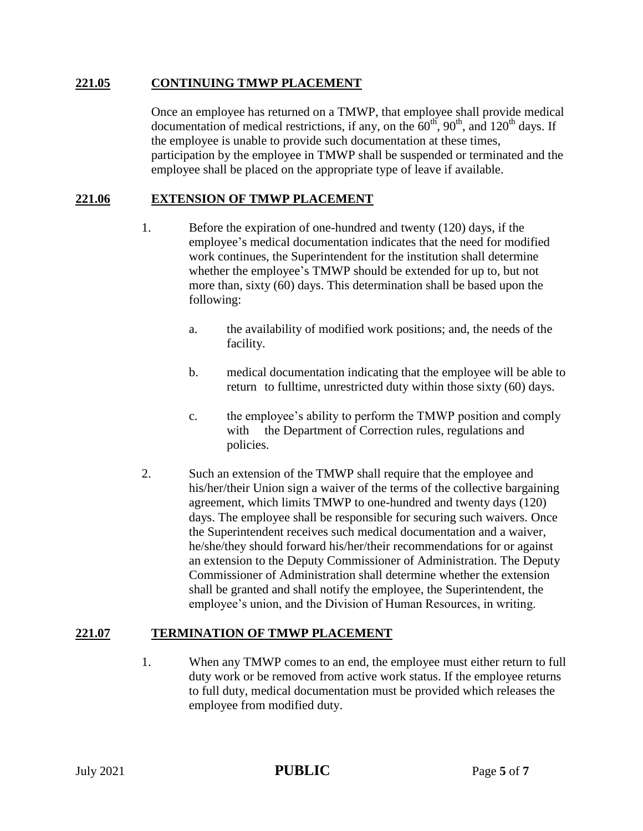#### **221.05 CONTINUING TMWP PLACEMENT**

Once an employee has returned on a TMWP, that employee shall provide medical documentation of medical restrictions, if any, on the  $60<sup>th</sup>$ ,  $90<sup>th</sup>$ , and  $120<sup>th</sup>$  days. If the employee is unable to provide such documentation at these times, participation by the employee in TMWP shall be suspended or terminated and the employee shall be placed on the appropriate type of leave if available.

## **221.06 EXTENSION OF TMWP PLACEMENT**

- 1. Before the expiration of one-hundred and twenty (120) days, if the employee's medical documentation indicates that the need for modified work continues, the Superintendent for the institution shall determine whether the employee's TMWP should be extended for up to, but not more than, sixty (60) days. This determination shall be based upon the following:
	- a. the availability of modified work positions; and, the needs of the facility.
	- b. medical documentation indicating that the employee will be able to return to fulltime, unrestricted duty within those sixty (60) days.
	- c. the employee's ability to perform the TMWP position and comply with the Department of Correction rules, regulations and policies.
- 2. Such an extension of the TMWP shall require that the employee and his/her/their Union sign a waiver of the terms of the collective bargaining agreement, which limits TMWP to one-hundred and twenty days (120) days. The employee shall be responsible for securing such waivers. Once the Superintendent receives such medical documentation and a waiver, he/she/they should forward his/her/their recommendations for or against an extension to the Deputy Commissioner of Administration. The Deputy Commissioner of Administration shall determine whether the extension shall be granted and shall notify the employee, the Superintendent, the employee's union, and the Division of Human Resources, in writing.

#### **221.07 TERMINATION OF TMWP PLACEMENT**

1. When any TMWP comes to an end, the employee must either return to full duty work or be removed from active work status. If the employee returns to full duty, medical documentation must be provided which releases the employee from modified duty.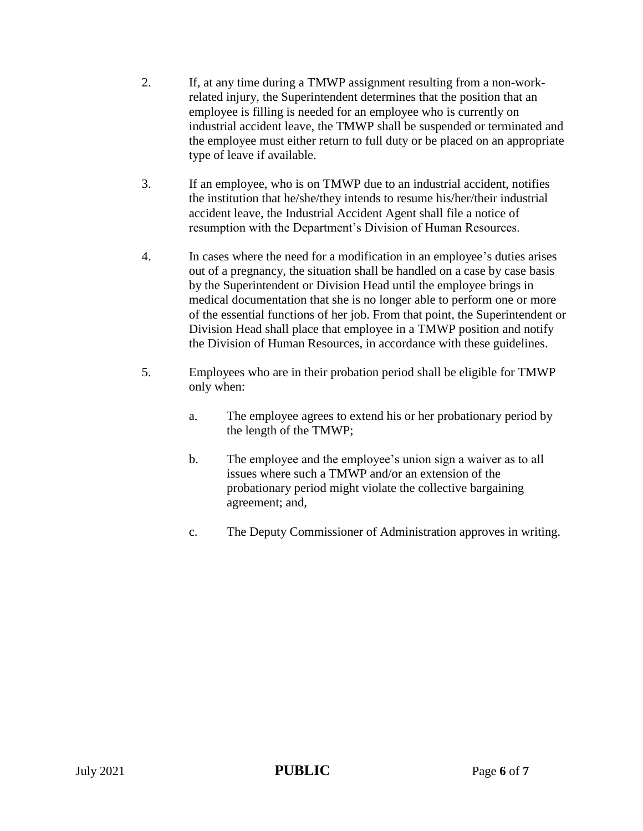- 2. If, at any time during a TMWP assignment resulting from a non-workrelated injury, the Superintendent determines that the position that an employee is filling is needed for an employee who is currently on industrial accident leave, the TMWP shall be suspended or terminated and the employee must either return to full duty or be placed on an appropriate type of leave if available.
- 3. If an employee, who is on TMWP due to an industrial accident, notifies the institution that he/she/they intends to resume his/her/their industrial accident leave, the Industrial Accident Agent shall file a notice of resumption with the Department's Division of Human Resources.
- 4. In cases where the need for a modification in an employee's duties arises out of a pregnancy, the situation shall be handled on a case by case basis by the Superintendent or Division Head until the employee brings in medical documentation that she is no longer able to perform one or more of the essential functions of her job. From that point, the Superintendent or Division Head shall place that employee in a TMWP position and notify the Division of Human Resources, in accordance with these guidelines.
- 5. Employees who are in their probation period shall be eligible for TMWP only when:
	- a. The employee agrees to extend his or her probationary period by the length of the TMWP;
	- b. The employee and the employee's union sign a waiver as to all issues where such a TMWP and/or an extension of the probationary period might violate the collective bargaining agreement; and,
	- c. The Deputy Commissioner of Administration approves in writing.